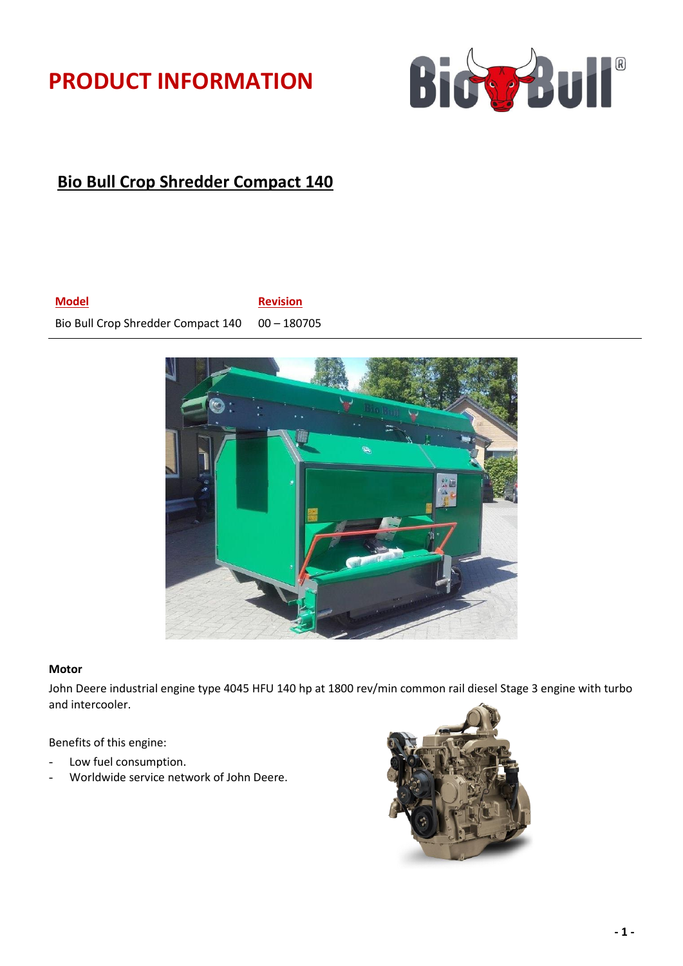# **PRODUCT INFORMATION**



## **Bio Bull Crop Shredder Compact 140**

**Model Revision**

Bio Bull Crop Shredder Compact 140 00 - 180705





#### **Motor**

John Deere industrial engine type 4045 HFU 140 hp at 1800 rev/min common rail diesel Stage 3 engine with turbo and intercooler.

Benefits of this engine:

- Low fuel consumption.
- Worldwide service network of John Deere.

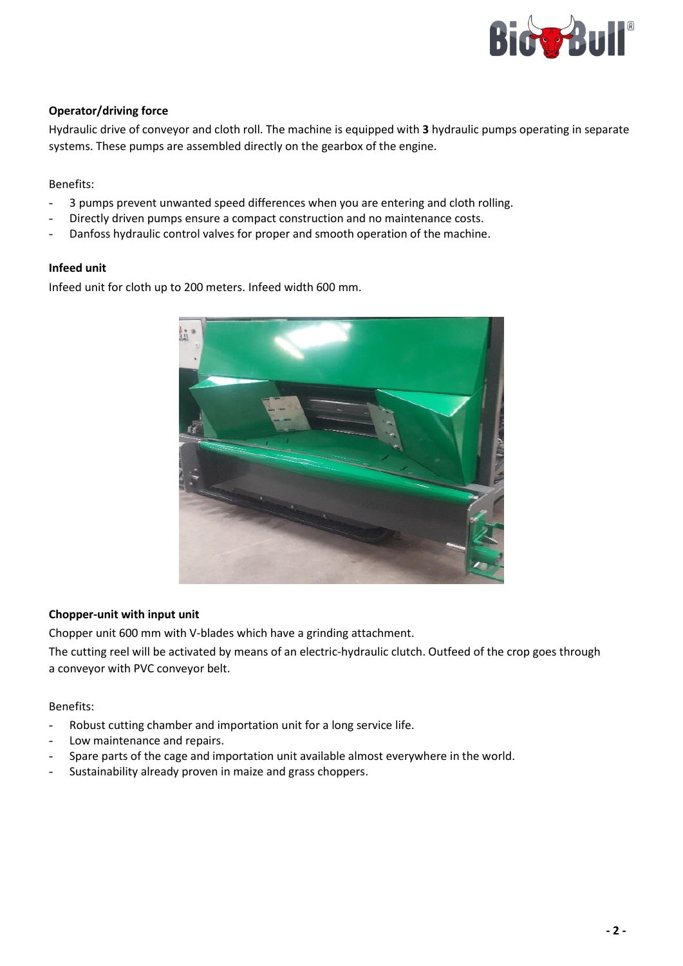

### **Operator/driving force**

Hydraulic drive of conveyor and cloth roll. The machine is equipped with **3** hydraulic pumps operating in separate systems. These pumps are assembled directly on the gearbox of the engine.

### Benefits:

- 3 pumps prevent unwanted speed differences when you are entering and cloth rolling.
- Directly driven pumps ensure a compact construction and no maintenance costs.
- Danfoss hydraulic control valves for proper and smooth operation of the machine.

#### **Infeed unit**

Infeed unit for cloth up to 200 meters. Infeed width 600 mm.



#### **Chopper-unit with input unit**

Chopper unit 600 mm with V-blades which have a grinding attachment.

The cutting reel will be activated by means of an electric-hydraulic clutch. Outfeed of the crop goes through a conveyor with PVC conveyor belt.

#### Benefits:

- Robust cutting chamber and importation unit for a long service life.
- Low maintenance and repairs.
- Spare parts of the cage and importation unit available almost everywhere in the world.
- Sustainability already proven in maize and grass choppers.